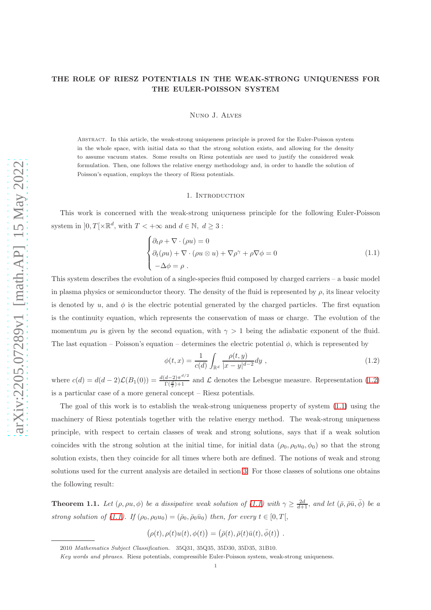# THE ROLE OF RIESZ POTENTIALS IN THE WEAK-STRONG UNIQUENESS FOR THE EULER-POISSON SYSTEM

Nuno J. Alves

Abstract. In this article, the weak-strong uniqueness principle is proved for the Euler-Poisson system in the whole space, with initial data so that the strong solution exists, and allowing for the density to assume vacuum states. Some results on Riesz potentials are used to justify the considered weak formulation. Then, one follows the relative energy methodology and, in order to handle the solution of Poisson's equation, employs the theory of Riesz potentials.

## <span id="page-0-1"></span>1. INTRODUCTION

This work is concerned with the weak-strong uniqueness principle for the following Euler-Poisson system in  $]0,T[\times \mathbb{R}^d,$  with  $T<+\infty$  and  $d \in \mathbb{N}, d \geq 3$ :

$$
\begin{cases} \partial_t \rho + \nabla \cdot (\rho u) = 0 \\ \partial_t (\rho u) + \nabla \cdot (\rho u \otimes u) + \nabla \rho^{\gamma} + \rho \nabla \phi = 0 \\ -\Delta \phi = \rho \end{cases}
$$
 (1.1)

This system describes the evolution of a single-species fluid composed by charged carriers – a basic model in plasma physics or semiconductor theory. The density of the fluid is represented by  $\rho$ , its linear velocity is denoted by u, and  $\phi$  is the electric potential generated by the charged particles. The first equation is the continuity equation, which represents the conservation of mass or charge. The evolution of the momentum  $\rho u$  is given by the second equation, with  $\gamma > 1$  being the adiabatic exponent of the fluid. The last equation – Poisson's equation – determines the electric potential  $\phi$ , which is represented by

<span id="page-0-0"></span>
$$
\phi(t,x) = \frac{1}{c(d)} \int_{\mathbb{R}^d} \frac{\rho(t,y)}{|x-y|^{d-2}} dy , \qquad (1.2)
$$

where  $c(d) = d(d-2)\mathcal{L}(B_1(0)) = \frac{d(d-2)\pi^{d/2}}{\Gamma(\frac{d}{2})+1}$  $\frac{a-2\pi}{\Gamma(\frac{d}{2})+1}$  and  $\mathcal L$  denotes the Lebesgue measure. Representation [\(1.2\)](#page-0-0) is a particular case of a more general concept – Riesz potentials.

The goal of this work is to establish the weak-strong uniqueness property of system [\(1.1\)](#page-0-1) using the machinery of Riesz potentials together with the relative energy method. The weak-strong uniqueness principle, with respect to certain classes of weak and strong solutions, says that if a weak solution coincides with the strong solution at the initial time, for initial data  $(\rho_0, \rho_0u_0, \phi_0)$  so that the strong solution exists, then they coincide for all times where both are defined. The notions of weak and strong solutions used for the current analysis are detailed in section [3.](#page-4-0) For those classes of solutions one obtains the following result:

<span id="page-0-2"></span>**Theorem 1.1.** Let  $(\rho, \rho u, \phi)$  be a dissipative weak solution of  $(1.1)$  with  $\gamma \geq \frac{2d}{d+1}$ , and let  $(\bar{\rho}, \bar{\rho} \bar{u}, \bar{\phi})$  be a strong solution of [\(1.1\)](#page-0-1). If  $(\rho_0, \rho_0 u_0) = (\bar{\rho}_0, \bar{\rho}_0 \bar{u}_0)$  then, for every  $t \in [0, T]$ ,

$$
(\rho(t), \rho(t)u(t), \phi(t)) = (\bar{\rho}(t), \bar{\rho}(t)\bar{u}(t), \bar{\phi}(t)) .
$$

<sup>2010</sup> Mathematics Subject Classification. 35Q31, 35Q35, 35D30, 35D35, 31B10.

Key words and phrases. Riesz potentials, compressible Euler-Poisson system, weak-strong uniqueness.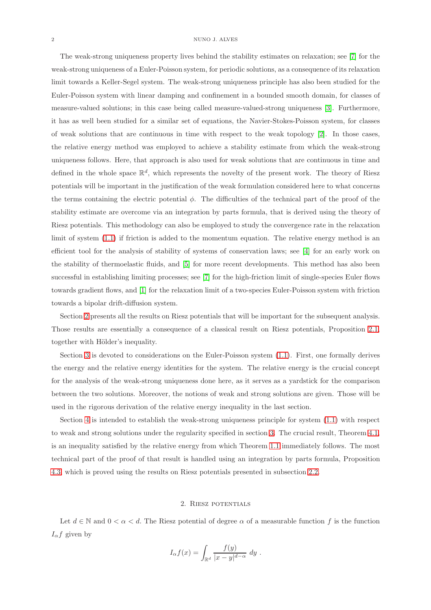#### 2 NUNO J. ALVES

The weak-strong uniqueness property lives behind the stability estimates on relaxation; see [\[7\]](#page-13-0) for the weak-strong uniqueness of a Euler-Poisson system, for periodic solutions, as a consequence of its relaxation limit towards a Keller-Segel system. The weak-strong uniqueness principle has also been studied for the Euler-Poisson system with linear damping and confinement in a bounded smooth domain, for classes of measure-valued solutions; in this case being called measure-valued-strong uniqueness [\[3\]](#page-13-1). Furthermore, it has as well been studied for a similar set of equations, the Navier-Stokes-Poisson system, for classes of weak solutions that are continuous in time with respect to the weak topology [\[2\]](#page-13-2). In those cases, the relative energy method was employed to achieve a stability estimate from which the weak-strong uniqueness follows. Here, that approach is also used for weak solutions that are continuous in time and defined in the whole space  $\mathbb{R}^d$ , which represents the novelty of the present work. The theory of Riesz potentials will be important in the justification of the weak formulation considered here to what concerns the terms containing the electric potential  $\phi$ . The difficulties of the technical part of the proof of the stability estimate are overcome via an integration by parts formula, that is derived using the theory of Riesz potentials. This methodology can also be employed to study the convergence rate in the relaxation limit of system  $(1.1)$  if friction is added to the momentum equation. The relative energy method is an efficient tool for the analysis of stability of systems of conservation laws; see [\[4\]](#page-13-3) for an early work on the stability of thermoelastic fluids, and [\[5\]](#page-13-4) for more recent developments. This method has also been successful in establishing limiting processes; see [\[7\]](#page-13-0) for the high-friction limit of single-species Euler flows towards gradient flows, and [\[1\]](#page-13-5) for the relaxation limit of a two-species Euler-Poisson system with friction towards a bipolar drift-diffusion system.

Section [2](#page-1-0) presents all the results on Riesz potentials that will be important for the subsequent analysis. Those results are essentially a consequence of a classical result on Riesz potentials, Proposition [2.1,](#page-2-0) together with Hölder's inequality.

Section [3](#page-4-0) is devoted to considerations on the Euler-Poisson system [\(1.1\)](#page-0-1). First, one formally derives the energy and the relative energy identities for the system. The relative energy is the crucial concept for the analysis of the weak-strong uniqueness done here, as it serves as a yardstick for the comparison between the two solutions. Moreover, the notions of weak and strong solutions are given. Those will be used in the rigorous derivation of the relative energy inequality in the last section.

Section [4](#page-8-0) is intended to establish the weak-strong uniqueness principle for system [\(1.1\)](#page-0-1) with respect to weak and strong solutions under the regularity specified in section [3.](#page-4-0) The crucial result, Theorem [4.1,](#page-9-0) is an inequality satisfied by the relative energy from which Theorem [1.1](#page-0-2) immediately follows. The most technical part of the proof of that result is handled using an integration by parts formula, Proposition [4.3,](#page-9-1) which is proved using the results on Riesz potentials presented in subsection [2.2.](#page-3-0)

## 2. Riesz potentials

<span id="page-1-0"></span>Let  $d \in \mathbb{N}$  and  $0 < \alpha < d$ . The Riesz potential of degree  $\alpha$  of a measurable function f is the function  $I_{\alpha}f$  given by

$$
I_{\alpha}f(x) = \int_{\mathbb{R}^d} \frac{f(y)}{|x - y|^{d - \alpha}} dy.
$$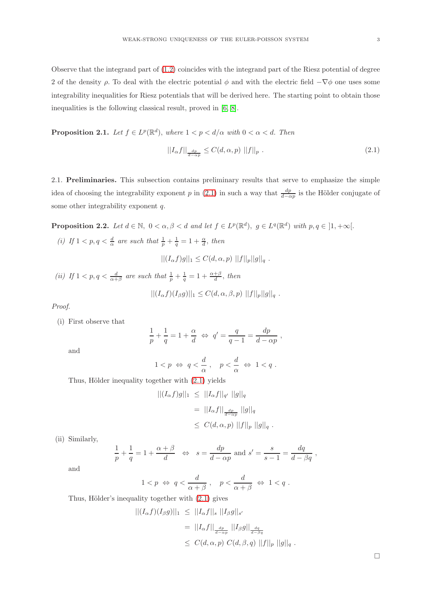Observe that the integrand part of [\(1.2\)](#page-0-0) coincides with the integrand part of the Riesz potential of degree 2 of the density  $\rho$ . To deal with the electric potential  $\phi$  and with the electric field  $-\nabla\phi$  one uses some integrability inequalities for Riesz potentials that will be derived here. The starting point to obtain those inequalities is the following classical result, proved in [\[6,](#page-13-6) [8\]](#page-13-7).

<span id="page-2-0"></span>**Proposition 2.1.** Let  $f \in L^p(\mathbb{R}^d)$ , where  $1 < p < d/\alpha$  with  $0 < \alpha < d$ . Then

<span id="page-2-1"></span>
$$
||I_{\alpha}f||_{\frac{dp}{d-\alpha p}} \leq C(d,\alpha,p) ||f||_p . \tag{2.1}
$$

2.1. Preliminaries. This subsection contains preliminary results that serve to emphasize the simple idea of choosing the integrability exponent p in [\(2.1\)](#page-2-1) in such a way that  $\frac{dp}{d-\alpha p}$  is the Hölder conjugate of some other integrability exponent q.

**Proposition 2.2.** Let  $d \in \mathbb{N}$ ,  $0 < \alpha, \beta < d$  and let  $f \in L^p(\mathbb{R}^d)$ ,  $g \in L^q(\mathbb{R}^d)$  with  $p, q \in [1, +\infty[$ .

(i) If  $1 < p, q < \frac{d}{\alpha}$  are such that  $\frac{1}{p} + \frac{1}{q} = 1 + \frac{\alpha}{d}$ , then

$$
||(I_{\alpha}f)g||_1 \leq C(d,\alpha,p) ||f||_p ||g||_q.
$$

(ii) If  $1 < p, q < \frac{d}{\alpha + \beta}$  are such that  $\frac{1}{p} + \frac{1}{q} = 1 + \frac{\alpha + \beta}{d}$ , then

$$
||(I_{\alpha}f)(I_{\beta}g)||_1 \leq C(d,\alpha,\beta,p) ||f||_p ||g||_q.
$$

Proof.

(i) First observe that

$$
\frac{1}{p} + \frac{1}{q} = 1 + \frac{\alpha}{d} \Leftrightarrow q' = \frac{q}{q-1} = \frac{dp}{d - \alpha p} ,
$$

and

$$
1 < p \ \Leftrightarrow \ q < \frac{d}{\alpha} \ , \quad p < \frac{d}{\alpha} \ \Leftrightarrow \ 1 < q \ .
$$

Thus, Hölder inequality together with  $(2.1)$  yields

$$
|| (I_{\alpha}f)g||_1 \leq ||I_{\alpha}f||_{q'} ||g||_q
$$
  
=  $||I_{\alpha}f||_{\frac{dp}{d-\alpha p}} ||g||_q$   
 $\leq C(d, \alpha, p) ||f||_p ||g||_q.$ 

(ii) Similarly,

$$
\frac{1}{p} + \frac{1}{q} = 1 + \frac{\alpha + \beta}{d} \quad \Leftrightarrow \quad s = \frac{dp}{d - \alpha p} \text{ and } s' = \frac{s}{s - 1} = \frac{dq}{d - \beta q} \ ,
$$

and

$$
1
$$

Thus, Hölder's inequality together with  $(2.1)$  gives

$$
|| (I_{\alpha}f)(I_{\beta}g)||_1 \leq ||I_{\alpha}f||_s ||I_{\beta}g||_s
$$
  
=  $||I_{\alpha}f||_{\frac{dp}{d-\alpha p}} ||I_{\beta}g||_{\frac{dq}{d-\beta q}}$   
 $\leq C(d, \alpha, p) C(d, \beta, q) ||f||_p ||g||_q.$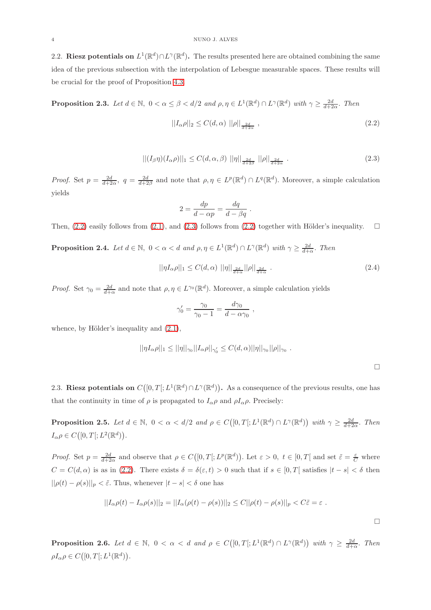<span id="page-3-0"></span>2.2. Riesz potentials on  $L^1(\mathbb{R}^d) \cap L^{\gamma}(\mathbb{R}^d)$ . The results presented here are obtained combining the same idea of the previous subsection with the interpolation of Lebesgue measurable spaces. These results will be crucial for the proof of Proposition [4.3.](#page-9-1)

<span id="page-3-2"></span>**Proposition 2.3.** Let  $d \in \mathbb{N}$ ,  $0 < \alpha \leq \beta < d/2$  and  $\rho, \eta \in L^1(\mathbb{R}^d) \cap L^{\gamma}(\mathbb{R}^d)$  with  $\gamma \geq \frac{2d}{d+2\alpha}$ . Then

<span id="page-3-1"></span>
$$
||I_{\alpha}\rho||_2 \le C(d,\alpha) ||\rho||_{\frac{2d}{d+2\alpha}} , \qquad (2.2)
$$

$$
||(I_{\beta}\eta)(I_{\alpha}\rho)||_1 \leq C(d,\alpha,\beta) ||\eta||_{\frac{2d}{d+2\beta}} ||\rho||_{\frac{2d}{d+2\alpha}}.
$$
\n(2.3)

*Proof.* Set  $p = \frac{2d}{d+2\alpha}$ ,  $q = \frac{2d}{d+2\beta}$  and note that  $\rho, \eta \in L^p(\mathbb{R}^d) \cap L^q(\mathbb{R}^d)$ . Moreover, a simple calculation yields

$$
2 = \frac{dp}{d - \alpha p} = \frac{dq}{d - \beta q}.
$$

Then, [\(2.2\)](#page-3-1) easily follows from [\(2.1\)](#page-2-1), and [\(2.3\)](#page-3-2) follows from (2.2) together with Hölder's inequality.  $\square$ 

**Proposition 2.4.** Let  $d \in \mathbb{N}$ ,  $0 < \alpha < d$  and  $\rho, \eta \in L^1(\mathbb{R}^d) \cap L^{\gamma}(\mathbb{R}^d)$  with  $\gamma \geq \frac{2d}{d+\alpha}$ . Then

$$
||\eta I_{\alpha}\rho||_1 \le C(d,\alpha) ||\eta||_{\frac{2d}{d+\alpha}} ||\rho||_{\frac{2d}{d+\alpha}}.
$$
\n
$$
(2.4)
$$

*Proof.* Set  $\gamma_0 = \frac{2d}{d+\alpha}$  and note that  $\rho, \eta \in L^{\gamma_0}(\mathbb{R}^d)$ . Moreover, a simple calculation yields

$$
\gamma'_0 = \frac{\gamma_0}{\gamma_0 - 1} = \frac{d\gamma_0}{d - \alpha \gamma_0} ,
$$

whence, by Hölder's inequality and  $(2.1)$ ,

$$
||\eta I_{\alpha}\rho||_1 \leq ||\eta||_{\gamma_0}||I_{\alpha}\rho||_{\gamma'_0} \leq C(d,\alpha)||\eta||_{\gamma_0}||\rho||_{\gamma_0} .
$$

<span id="page-3-3"></span> $\Box$ 

 $\Box$ 

2.3. Riesz potentials on  $C([0,T];L^1(\mathbb{R}^d)) \cap L^{\gamma}(\mathbb{R}^d)$ . As a consequence of the previous results, one has that the continuity in time of  $\rho$  is propagated to  $I_{\alpha}\rho$  and  $\rho I_{\alpha}\rho$ . Precisely:

<span id="page-3-4"></span>**Proposition 2.5.** Let  $d \in \mathbb{N}$ ,  $0 < \alpha < d/2$  and  $\rho \in C([0,T[;L^1(\mathbb{R}^d) \cap L^{\gamma}(\mathbb{R}^d))$  with  $\gamma \geq \frac{2d}{d+2\alpha}$ . Then  $I_{\alpha}\rho \in C([0,T[;L^2(\mathbb{R}^d))).$ 

*Proof.* Set  $p = \frac{2d}{d+2\alpha}$  and observe that  $\rho \in C([0,T[;L^p(\mathbb{R}^d))$ . Let  $\varepsilon > 0, t \in [0,T[$  and set  $\tilde{\varepsilon} = \frac{\varepsilon}{C}$  where  $C = C(d, \alpha)$  is as in [\(2.2\)](#page-3-1). There exists  $\delta = \delta(\varepsilon, t) > 0$  such that if  $s \in [0, T]$  satisfies  $|t - s| < \delta$  then  $||\rho(t) - \rho(s)||_p < \tilde{\varepsilon}$ . Thus, whenever  $|t - s| < \delta$  one has

$$
||I_{\alpha}\rho(t) - I_{\alpha}\rho(s)||_2 = ||I_{\alpha}(\rho(t) - \rho(s))||_2 \leq C||\rho(t) - \rho(s)||_p < C\tilde{\varepsilon} = \varepsilon.
$$

<span id="page-3-5"></span>**Proposition 2.6.** Let  $d \in \mathbb{N}$ ,  $0 < \alpha < d$  and  $\rho \in C([0,T[;L^1(\mathbb{R}^d) \cap L^\gamma(\mathbb{R}^d))$  with  $\gamma \geq \frac{2d}{d+\alpha}$ . Then  $\rho I_{\alpha} \rho \in C([0, T[; L^1(\mathbb{R}^d))$ .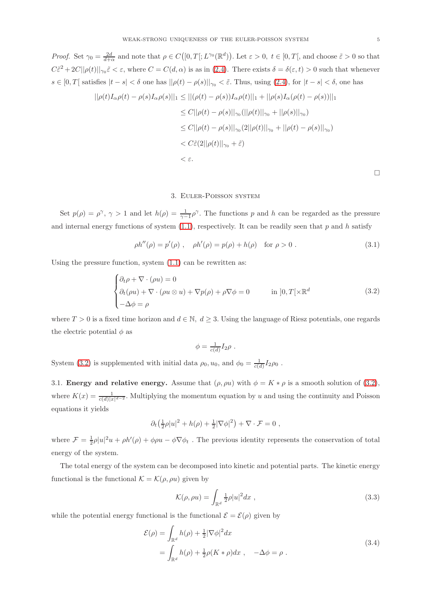*Proof.* Set  $\gamma_0 = \frac{2d}{d+\alpha}$  and note that  $\rho \in C([0,T[;L^{\gamma_0}(\mathbb{R}^d))$ . Let  $\varepsilon > 0$ ,  $t \in [0,T[$ , and choose  $\tilde{\varepsilon} > 0$  so that

 $\Box$ 

 $C\tilde{\epsilon}^2 + 2C||\rho(t)||_{\gamma_0}\tilde{\epsilon} < \epsilon$ , where  $C = C(d, \alpha)$  is as in [\(2.4\)](#page-3-3). There exists  $\delta = \delta(\epsilon, t) > 0$  such that whenever  $s \in [0, T[$  satisfies  $|t - s| < \delta$  one has  $||\rho(t) - \rho(s)||_{\gamma_0} < \tilde{\varepsilon}$ . Thus, using [\(2.4\)](#page-3-3), for  $|t - s| < \delta$ , one has  $||\rho(t)I_{\alpha}\rho(t) - \rho(s)I_{\alpha}\rho(s)||_1 \leq ||(\rho(t) - \rho(s))I_{\alpha}\rho(t)||_1 + ||\rho(s)I_{\alpha}(\rho(t) - \rho(s))||_1$  $\leq C||\rho(t) - \rho(s)||_{\gamma_0} (||\rho(t)||_{\gamma_0} + ||\rho(s)||_{\gamma_0})$  $\leq C||\rho(t) - \rho(s)||_{\gamma_0}(2||\rho(t)||_{\gamma_0} + ||\rho(t) - \rho(s)||_{\gamma_0})$  $< C\tilde{\varepsilon}(2||\rho(t)||_{\gamma_0} + \tilde{\varepsilon})$  $< \varepsilon.$ 

## <span id="page-4-1"></span>3. Euler-Poisson system

<span id="page-4-0"></span>Set  $p(\rho) = \rho^{\gamma}, \gamma > 1$  and let  $h(\rho) = \frac{1}{\gamma - 1} \rho^{\gamma}$ . The functions p and h can be regarded as the pressure and internal energy functions of system  $(1.1)$ , respectively. It can be readily seen that p and h satisfy

$$
\rho h''(\rho) = p'(\rho) , \quad \rho h'(\rho) = p(\rho) + h(\rho) \quad \text{for } \rho > 0 .
$$
\n(3.1)

Using the pressure function, system  $(1.1)$  can be rewritten as:

$$
\begin{cases} \partial_t \rho + \nabla \cdot (\rho u) = 0 \\ \partial_t (\rho u) + \nabla \cdot (\rho u \otimes u) + \nabla p(\rho) + \rho \nabla \phi = 0 \qquad \text{in } ]0, T[ \times \mathbb{R}^d \\ -\Delta \phi = \rho \end{cases}
$$
 (3.2)

where  $T > 0$  is a fixed time horizon and  $d \in \mathbb{N}$ ,  $d \geq 3$ . Using the language of Riesz potentials, one regards the electric potential  $\phi$  as

$$
\phi = \frac{1}{c(d)} I_2 \rho \ .
$$

System [\(3.2\)](#page-4-1) is supplemented with initial data  $\rho_0, u_0$ , and  $\phi_0 = \frac{1}{c(d)} I_2 \rho_0$ .

3.1. Energy and relative energy. Assume that  $(\rho, \rho u)$  with  $\phi = K * \rho$  is a smooth solution of (3.[2\)](#page-4-1), where  $K(x) = \frac{1}{c(d)|x|^{d-2}}$ . Multiplying the momentum equation by u and using the continuity and Poisson equations it yields

$$
\partial_t \left(\frac{1}{2}\rho |u|^2 + h(\rho) + \frac{1}{2} |\nabla \phi|^2\right) + \nabla \cdot \mathcal{F} = 0,
$$

where  $\mathcal{F} = \frac{1}{2}\rho|u|^2u + \rho h'(\rho) + \phi\rho u - \phi\nabla\phi_t$ . The previous identity represents the conservation of total energy of the system.

The total energy of the system can be decomposed into kinetic and potential parts. The kinetic energy functional is the functional  $\mathcal{K} = \mathcal{K}(\rho, \rho u)$  given by

<span id="page-4-2"></span>
$$
\mathcal{K}(\rho, \rho u) = \int_{\mathbb{R}^d} \frac{1}{2} \rho |u|^2 dx \tag{3.3}
$$

while the potential energy functional is the functional  $\mathcal{E} = \mathcal{E}(\rho)$  given by

$$
\mathcal{E}(\rho) = \int_{\mathbb{R}^d} h(\rho) + \frac{1}{2} |\nabla \phi|^2 dx
$$
  
= 
$$
\int_{\mathbb{R}^d} h(\rho) + \frac{1}{2} \rho (K * \rho) dx , \quad -\Delta \phi = \rho .
$$
 (3.4)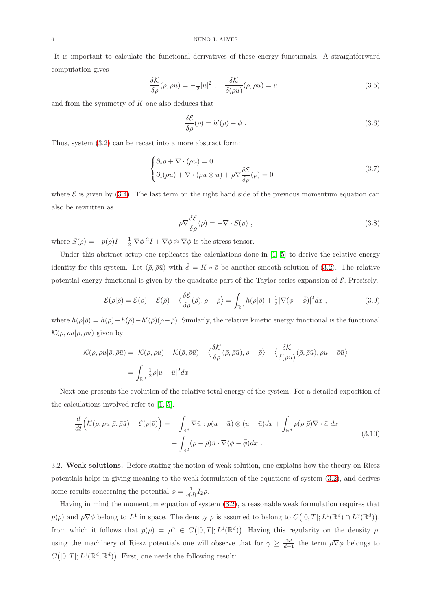It is important to calculate the functional derivatives of these energy functionals. A straightforward computation gives

$$
\frac{\delta \mathcal{K}}{\delta \rho}(\rho, \rho u) = -\frac{1}{2}|u|^2 \ , \quad \frac{\delta \mathcal{K}}{\delta(\rho u)}(\rho, \rho u) = u \ , \tag{3.5}
$$

and from the symmetry of  $K$  one also deduces that

$$
\frac{\delta \mathcal{E}}{\delta \rho}(\rho) = h'(\rho) + \phi \tag{3.6}
$$

Thus, system [\(3.2\)](#page-4-1) can be recast into a more abstract form:

$$
\begin{cases} \partial_t \rho + \nabla \cdot (\rho u) = 0 \\ \partial_t (\rho u) + \nabla \cdot (\rho u \otimes u) + \rho \nabla \frac{\delta \mathcal{E}}{\delta \rho}(\rho) = 0 \end{cases}
$$
 (3.7)

where  $\mathcal E$  is given by [\(3.4\)](#page-4-2). The last term on the right hand side of the previous momentum equation can also be rewritten as

$$
\rho \nabla \frac{\delta \mathcal{E}}{\delta \rho}(\rho) = -\nabla \cdot S(\rho) , \qquad (3.8)
$$

where  $S(\rho) = -p(\rho)I - \frac{1}{2}|\nabla \phi|^2 I + \nabla \phi \otimes \nabla \phi$  is the stress tensor.

Under this abstract setup one replicates the calculations done in [\[1,](#page-13-5) [5\]](#page-13-4) to derive the relative energy identity for this system. Let  $(\bar{\rho}, \bar{\rho}\bar{u})$  with  $\bar{\phi} = K * \bar{\rho}$  be another smooth solution of [\(3.2\)](#page-4-1). The relative potential energy functional is given by the quadratic part of the Taylor series expansion of  $\mathcal{E}$ . Precisely,

$$
\mathcal{E}(\rho|\bar{\rho}) = \mathcal{E}(\rho) - \mathcal{E}(\bar{\rho}) - \langle \frac{\delta \mathcal{E}}{\delta \rho}(\bar{\rho}), \rho - \bar{\rho} \rangle = \int_{\mathbb{R}^d} h(\rho|\bar{\rho}) + \frac{1}{2} |\nabla(\phi - \bar{\phi})|^2 dx , \qquad (3.9)
$$

where  $h(\rho|\bar{\rho}) = h(\rho) - h(\bar{\rho}) - h'(\bar{\rho})(\rho - \bar{\rho})$ . Similarly, the relative kinetic energy functional is the functional  $\mathcal{K}(\rho, \rho u | \bar{\rho}, \bar{\rho} \bar{u})$  given by

$$
\mathcal{K}(\rho, \rho u | \bar{\rho}, \bar{\rho} \bar{u}) = \mathcal{K}(\rho, \rho u) - \mathcal{K}(\bar{\rho}, \bar{\rho} \bar{u}) - \langle \frac{\delta \mathcal{K}}{\delta \rho}(\bar{\rho}, \bar{\rho} \bar{u}), \rho - \bar{\rho} \rangle - \langle \frac{\delta \mathcal{K}}{\delta(\rho u)}(\bar{\rho}, \bar{\rho} \bar{u}), \rho u - \bar{\rho} \bar{u} \rangle
$$
  
= 
$$
\int_{\mathbb{R}^d} \frac{1}{2} \rho |u - \bar{u}|^2 dx.
$$

Next one presents the evolution of the relative total energy of the system. For a detailed exposition of the calculations involved refer to [\[1,](#page-13-5) [5\]](#page-13-4).

$$
\frac{d}{dt}\left(\mathcal{K}(\rho,\rho u|\bar{\rho},\bar{\rho}\bar{u})+\mathcal{E}(\rho|\bar{\rho})\right)=-\int_{\mathbb{R}^d}\nabla\bar{u}:\rho(u-\bar{u})\otimes(u-\bar{u})dx+\int_{\mathbb{R}^d}p(\rho|\bar{\rho})\nabla\cdot\bar{u}dx+\int_{\mathbb{R}^d}(\rho-\bar{\rho})\bar{u}\cdot\nabla(\phi-\bar{\phi})dx.
$$
\n(3.10)

3.2. Weak solutions. Before stating the notion of weak solution, one explains how the theory on Riesz potentials helps in giving meaning to the weak formulation of the equations of system [\(3.2\)](#page-4-1), and derives some results concerning the potential  $\phi = \frac{1}{c(d)} I_2 \rho$ .

Having in mind the momentum equation of system [\(3.2\)](#page-4-1), a reasonable weak formulation requires that  $p(\rho)$  and  $\rho \nabla \phi$  belong to  $L^1$  in space. The density  $\rho$  is assumed to belong to  $C([0,T[;L^1(\mathbb{R}^d)) \cap L^{\gamma}(\mathbb{R}^d)),$ from which it follows that  $p(\rho) = \rho^{\gamma} \in C([0,T];L^{1}(\mathbb{R}^{d}))$ . Having this regularity on the density  $\rho$ , using the machinery of Riesz potentials one will observe that for  $\gamma \geq \frac{2d}{d+1}$  the term  $\rho \nabla \phi$  belongs to  $C([0,T];L^1(\mathbb{R}^d,\mathbb{R}^d))$ . First, one needs the following result: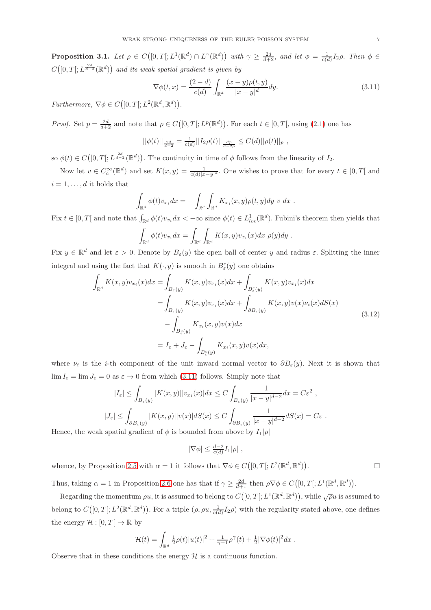**Proposition 3.1.** Let  $\rho \in C([0,T[;L^1(\mathbb{R}^d) \cap L^\gamma(\mathbb{R}^d))$  with  $\gamma \geq \frac{2d}{d+2}$ , and let  $\phi = \frac{1}{c(d)}I_2\rho$ . Then  $\phi \in$  $C([0,T[;L^{\frac{2d}{d-2}}(\mathbb{R}^d))$  and its weak spatial gradient is given by

<span id="page-6-0"></span>
$$
\nabla \phi(t,x) = \frac{(2-d)}{c(d)} \int_{\mathbb{R}^d} \frac{(x-y)\rho(t,y)}{|x-y|^d} dy.
$$
\n(3.11)

Furthermore,  $\nabla \phi \in C([0, T[; L^2(\mathbb{R}^d, \mathbb{R}^d))$ .

*Proof.* Set  $p = \frac{2d}{d+2}$  and note that  $\rho \in C([0, T]; L^p(\mathbb{R}^d))$ . For each  $t \in [0, T]$ , using [\(2.1\)](#page-2-1) one has

$$
||\phi(t)||_{\frac{2d}{d-2}} = \frac{1}{c(d)}||I_2\rho(t)||_{\frac{dp}{d-2p}} \leq C(d)||\rho(t)||_p,
$$

so  $\phi(t) \in C([0,T]; L^{\frac{2d}{d-2}}(\mathbb{R}^d))$ . The continuity in time of  $\phi$  follows from the linearity of  $I_2$ .

Now let  $v \in C_c^{\infty}(\mathbb{R}^d)$  and set  $K(x, y) = \frac{1}{c(d)|x-y|^d}$ . One wishes to prove that for every  $t \in [0, T[$  and  $i = 1, \ldots, d$  it holds that

$$
\int_{\mathbb{R}^d} \phi(t) v_{x_i} dx = - \int_{\mathbb{R}^d} \int_{\mathbb{R}^d} K_{x_i}(x, y) \rho(t, y) dy \ v \ dx .
$$

Fix  $t \in [0,T]$  and note that  $\int_{\mathbb{R}^d} \phi(t)v_{x_i} dx < +\infty$  since  $\phi(t) \in L^1_{loc}(\mathbb{R}^d)$ . Fubini's theorem then yields that

$$
\int_{\mathbb{R}^d} \phi(t)v_{x_i} dx = \int_{\mathbb{R}^d} \int_{\mathbb{R}^d} K(x, y)v_{x_i}(x) dx \, \rho(y) dy.
$$

Fix  $y \in \mathbb{R}^d$  and let  $\varepsilon > 0$ . Denote by  $B_{\varepsilon}(y)$  the open ball of center y and radius  $\varepsilon$ . Splitting the inner integral and using the fact that  $K(\cdot, y)$  is smooth in  $B^c_{\varepsilon}(y)$  one obtains

$$
\int_{\mathbb{R}^d} K(x, y)v_{x_i}(x)dx = \int_{B_{\varepsilon}(y)} K(x, y)v_{x_i}(x)dx + \int_{B_{\varepsilon}^c(y)} K(x, y)v_{x_i}(x)dx
$$
\n
$$
= \int_{B_{\varepsilon}(y)} K(x, y)v_{x_i}(x)dx + \int_{\partial B_{\varepsilon}(y)} K(x, y)v(x)v_i(x)dS(x)
$$
\n
$$
- \int_{B_{\varepsilon}^c(y)} K_{x_i}(x, y)v(x)dx
$$
\n
$$
= I_{\varepsilon} + J_{\varepsilon} - \int_{B_{\varepsilon}^c(y)} K_{x_i}(x, y)v(x)dx,
$$
\n(3.12)

where  $\nu_i$  is the *i*-th component of the unit inward normal vector to  $\partial B_{\varepsilon}(y)$ . Next it is shown that  $\lim I_{\varepsilon} = \lim J_{\varepsilon} = 0$  as  $\varepsilon \to 0$  from which [\(3.11\)](#page-6-0) follows. Simply note that

$$
|I_{\varepsilon}| \leq \int_{B_{\varepsilon}(y)} |K(x, y)| |v_{x_i}(x)| dx \leq C \int_{B_{\varepsilon}(y)} \frac{1}{|x - y|^{d - 2}} dx = C \varepsilon^2 ,
$$
  

$$
|J_{\varepsilon}| \leq \int_{\partial B_{\varepsilon}(y)} |K(x, y)| |v(x)| dS(x) \leq C \int_{\partial B_{\varepsilon}(y)} \frac{1}{|x - y|^{d - 2}} dS(x) = C \varepsilon .
$$

Hence, the weak spatial gradient of  $\phi$  is bounded from above by  $I_1|\rho|$ 

$$
|\nabla \phi| \leq \frac{d-2}{c(d)} I_1 |\rho| \ ,
$$

whence, by Proposition [2.5](#page-3-4) with  $\alpha = 1$  it follows that  $\nabla \phi \in C([0, T]; L^2(\mathbb{R}^d, \mathbb{R}^d))$ . — Процессиональные просто производства и продага в собстановки производства и производства и производства и<br>В собстановки производства и производства и производства и производства и производства и производства и произв

Thus, taking  $\alpha = 1$  in Proposition [2.6](#page-3-5) one has that if  $\gamma \geq \frac{2d}{d+1}$  then  $\rho \nabla \phi \in C([0, T]; L^1(\mathbb{R}^d, \mathbb{R}^d)).$ 

Regarding the momentum  $\rho u$ , it is assumed to belong to  $C([0,T];L^1(\mathbb{R}^d,\mathbb{R}^d))$ , while  $\sqrt{\rho}u$  is assumed to belong to  $C([0,T];L^2(\mathbb{R}^d,\mathbb{R}^d))$ . For a triple  $(\rho, \rho u, \frac{1}{c(d)}I_2\rho)$  with the regularity stated above, one defines the energy  $\mathcal{H} : [0, T] \to \mathbb{R}$  by

$$
\mathcal{H}(t) = \int_{\mathbb{R}^d} \frac{1}{2} \rho(t) |u(t)|^2 + \frac{1}{\gamma - 1} \rho^{\gamma}(t) + \frac{1}{2} |\nabla \phi(t)|^2 dx.
$$

Observe that in these conditions the energy  $H$  is a continuous function.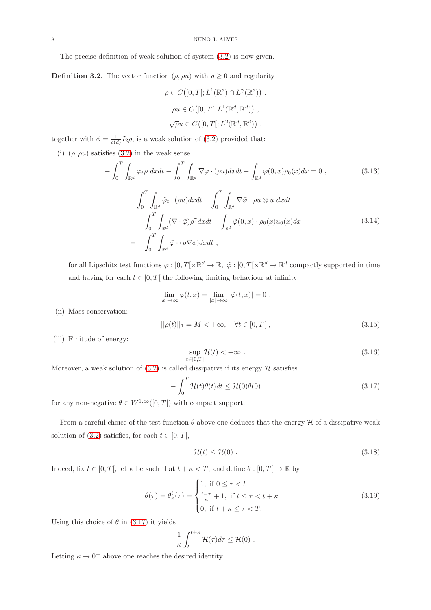The precise definition of weak solution of system [\(3.2\)](#page-4-1) is now given.

**Definition 3.2.** The vector function  $(\rho, \rho u)$  with  $\rho \geq 0$  and regularity

$$
\rho \in C([0, T]; L^1(\mathbb{R}^d) \cap L^{\gamma}(\mathbb{R}^d)),
$$
  
\n
$$
\rho u \in C([0, T]; L^1(\mathbb{R}^d, \mathbb{R}^d)),
$$
  
\n
$$
\sqrt{\rho} u \in C([0, T]; L^2(\mathbb{R}^d, \mathbb{R}^d)),
$$

together with  $\phi = \frac{1}{c(d)} I_2 \rho$ , is a weak solution of [\(3.2\)](#page-4-1) provided that:

(i)  $(\rho, \rho u)$  satisfies [\(3.2\)](#page-4-1) in the weak sense

$$
-\int_0^T \int_{\mathbb{R}^d} \varphi_t \rho \, dx dt - \int_0^T \int_{\mathbb{R}^d} \nabla \varphi \cdot (\rho u) dx dt - \int_{\mathbb{R}^d} \varphi(0, x) \rho_0(x) dx = 0 , \qquad (3.13)
$$

$$
-\int_0^T \int_{\mathbb{R}^d} \tilde{\varphi}_t \cdot (\rho u) dx dt - \int_0^T \int_{\mathbb{R}^d} \nabla \tilde{\varphi} : \rho u \otimes u \ dx dt - \int_0^T \int_{\mathbb{R}^d} (\nabla \cdot \tilde{\varphi}) \rho^\gamma dx dt - \int_{\mathbb{R}^d} \tilde{\varphi}(0, x) \cdot \rho_0(x) u_0(x) dx = - \int_0^T \int_{\mathbb{R}^d} \tilde{\varphi} \cdot (\rho \nabla \phi) dx dt , \qquad (3.14)
$$

for all Lipschitz test functions  $\varphi : [0, T[ \times \mathbb{R}^d \to \mathbb{R}, \ \tilde{\varphi} : [0, T[ \times \mathbb{R}^d \to \mathbb{R}^d \text{ compactly supported in time}]$ and having for each  $t \in [0, T]$  the following limiting behaviour at infinity

$$
\lim_{|x| \to \infty} \varphi(t, x) = \lim_{|x| \to \infty} |\tilde{\varphi}(t, x)| = 0 ;
$$

(ii) Mass conservation:

$$
||\rho(t)||_1 = M < +\infty, \quad \forall t \in [0, T[,
$$
\n(3.15)

(iii) Finitude of energy:

<span id="page-7-0"></span>
$$
\sup_{t \in [0,T[} \mathcal{H}(t) < +\infty \tag{3.16}
$$

Moreover, a weak solution of  $(3.2)$  is called dissipative if its energy  $H$  satisfies

$$
-\int_{0}^{T} \mathcal{H}(t)\dot{\theta}(t)dt \leq \mathcal{H}(0)\theta(0)
$$
\n(3.17)

for any non-negative  $\theta \in W^{1,\infty}([0,T])$  with compact support.

From a careful choice of the test function  $\theta$  above one deduces that the energy  $\mathcal H$  of a dissipative weak solution of [\(3.2\)](#page-4-1) satisfies, for each  $t \in [0, T[,$ 

<span id="page-7-1"></span>
$$
\mathcal{H}(t) \le \mathcal{H}(0) \tag{3.18}
$$

Indeed, fix  $t \in [0, T]$ , let  $\kappa$  be such that  $t + \kappa < T$ , and define  $\theta : [0, T] \to \mathbb{R}$  by

$$
\theta(\tau) = \theta_{\kappa}^{t}(\tau) = \begin{cases} 1, & \text{if } 0 \leq \tau < t \\ \frac{t-\tau}{\kappa} + 1, & \text{if } t \leq \tau < t + \kappa \\ 0, & \text{if } t + \kappa \leq \tau < T. \end{cases} \tag{3.19}
$$

Using this choice of  $\theta$  in [\(3.17\)](#page-7-0) it yields

$$
\frac{1}{\kappa} \int_{t}^{t+\kappa} \mathcal{H}(\tau) d\tau \leq \mathcal{H}(0) .
$$

Letting  $\kappa \to 0^+$  above one reaches the desired identity.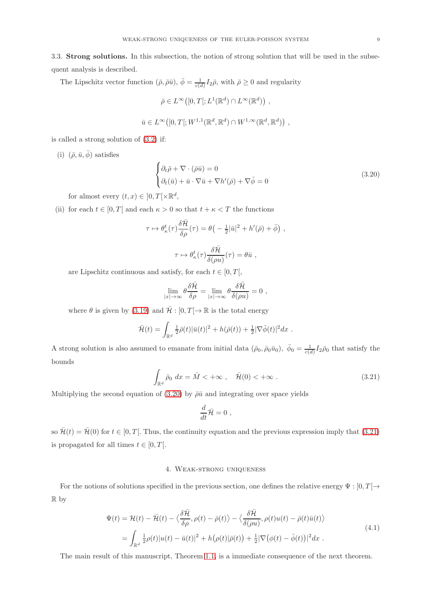3.3. Strong solutions. In this subsection, the notion of strong solution that will be used in the subsequent analysis is described.

The Lipschitz vector function  $(\bar{\rho}, \bar{\rho}\bar{u}), \bar{\phi} = \frac{1}{c(d)} I_2 \bar{\rho}$ , with  $\bar{\rho} \ge 0$  and regularity

 $\bar{\rho} \in L^{\infty}([0,T[;L^1(\mathbb{R}^d) \cap L^{\infty}(\mathbb{R}^d))$ ,  $\bar{u} \in L^{\infty}\big([0,T[;W^{1,1}(\mathbb{R}^d,\mathbb{R}^d)\cap W^{1,\infty}(\mathbb{R}^d,\mathbb{R}^d)\big)$ ,

is called a strong solution of [\(3.2\)](#page-4-1) if:

(i)  $(\bar{\rho}, \bar{u}, \bar{\phi})$  satisfies

<span id="page-8-1"></span>
$$
\begin{cases} \partial_t \bar{\rho} + \nabla \cdot (\bar{\rho} \bar{u}) = 0 \\ \partial_t (\bar{u}) + \bar{u} \cdot \nabla \bar{u} + \nabla h'(\bar{\rho}) + \nabla \bar{\phi} = 0 \end{cases}
$$
 (3.20)

for almost every  $(t, x) \in ]0, T[ \times \mathbb{R}^d,$ 

(ii) for each  $t \in [0, T]$  and each  $\kappa > 0$  so that  $t + \kappa < T$  the functions

$$
\tau \mapsto \theta_{\kappa}^{t}(\tau) \frac{\delta \bar{\mathcal{H}}}{\delta \rho}(\tau) = \theta \left( -\frac{1}{2} |\bar{u}|^{2} + h'(\bar{\rho}) + \bar{\phi} \right) ,
$$

$$
\tau \mapsto \theta_{\kappa}^{t}(\tau) \frac{\delta \bar{\mathcal{H}}}{\delta (\rho u)}(\tau) = \theta \bar{u} ,
$$

are Lipschitz continuous and satisfy, for each  $t \in [0, T[,$ 

$$
\lim_{|x| \to \infty} \theta \frac{\delta \bar{\mathcal{H}}}{\delta \rho} = \lim_{|x| \to \infty} \theta \frac{\delta \bar{\mathcal{H}}}{\delta (\rho u)} = 0,
$$

where  $\theta$  is given by [\(3.19\)](#page-7-1) and  $\bar{\mathcal{H}}$  : [0,  $T \rightarrow \mathbb{R}$  is the total energy

$$
\bar{\mathcal{H}}(t) = \int_{\mathbb{R}^d} \frac{1}{2} \bar{\rho}(t) |\bar{u}(t)|^2 + h(\bar{\rho}(t)) + \frac{1}{2} |\nabla \bar{\phi}(t)|^2 dx.
$$

<span id="page-8-2"></span>A strong solution is also assumed to emanate from initial data  $(\bar{\rho}_0, \bar{\rho}_0 \bar{u}_0)$ ,  $\bar{\phi}_0 = \frac{1}{c(d)} I_2 \bar{\rho}_0$  that satisfy the bounds

$$
\int_{\mathbb{R}^d} \bar{\rho}_0 \, dx = \bar{M} < +\infty \,, \quad \bar{\mathcal{H}}(0) < +\infty \,. \tag{3.21}
$$

Multiplying the second equation of [\(3.20\)](#page-8-1) by  $\bar{\rho} \bar{u}$  and integrating over space yields

$$
\frac{d}{dt}\bar{\mathcal{H}}=0,
$$

<span id="page-8-0"></span>so  $\bar{\mathcal{H}}(t) = \bar{\mathcal{H}}(0)$  for  $t \in [0, T]$ . Thus, the continuity equation and the previous expression imply that (3.[21\)](#page-8-2) is propagated for all times  $t \in [0, T[$ .

## 4. Weak-strong uniqueness

For the notions of solutions specified in the previous section, one defines the relative energy  $\Psi : [0, T] \rightarrow$ R by

$$
\Psi(t) = \mathcal{H}(t) - \bar{\mathcal{H}}(t) - \langle \frac{\delta \bar{\mathcal{H}}}{\delta \rho}, \rho(t) - \bar{\rho}(t) \rangle - \langle \frac{\delta \bar{\mathcal{H}}}{\delta(\rho u)}, \rho(t)u(t) - \bar{\rho}(t)\bar{u}(t) \rangle
$$
\n
$$
= \int_{\mathbb{R}^d} \frac{1}{2} \rho(t) |u(t) - \bar{u}(t)|^2 + h(\rho(t)|\bar{\rho}(t)) + \frac{1}{2} |\nabla(\phi(t) - \bar{\phi}(t))|^2 dx .
$$
\n(4.1)

The main result of this manuscript, Theorem [1.1,](#page-0-2) is a immediate consequence of the next theorem.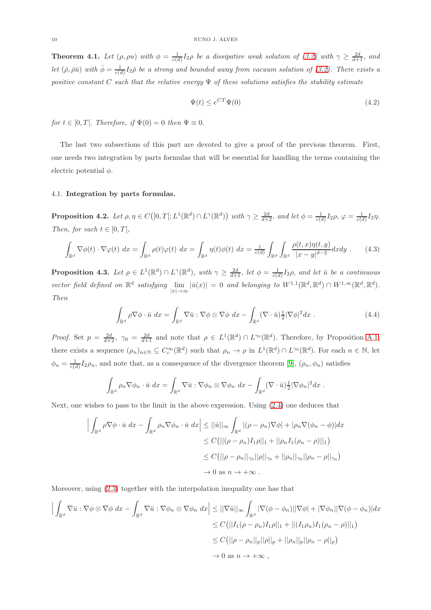<span id="page-9-0"></span>**Theorem 4.1.** Let  $(\rho, \rho u)$  with  $\phi = \frac{1}{c(d)} I_2 \rho$  be a dissipative weak solution of [\(3.2\)](#page-4-1) with  $\gamma \geq \frac{2d}{d+1}$ , and let  $(\bar{\rho}, \bar{\rho}\bar{u})$  with  $\bar{\phi} = \frac{1}{c(d)}I_2\bar{\rho}$  be a strong and bounded away from vacuum solution of [\(3.2\)](#page-4-1). There exists a positive constant C such that the relative energy  $\Psi$  of these solutions satisfies the stability estimate

<span id="page-9-2"></span>
$$
\Psi(t) \le e^{CT} \Psi(0) \tag{4.2}
$$

for  $t \in [0, T]$ . Therefore, if  $\Psi(0) = 0$  then  $\Psi \equiv 0$ .

The last two subsections of this part are devoted to give a proof of the previous theorem. First, one needs two integration by parts formulas that will be essential for handling the terms containing the electric potential  $\phi$ .

## 4.1. Integration by parts formulas.

**Proposition 4.2.** Let  $\rho, \eta \in C([0,T]; L^1(\mathbb{R}^d) \cap L^{\gamma}(\mathbb{R}^d))$  with  $\gamma \geq \frac{2d}{d+2}$ , and let  $\phi = \frac{1}{c(d)} I_2 \rho, \varphi = \frac{1}{c(d)} I_2 \eta$ . Then, for each  $t \in [0, T]$ ,

<span id="page-9-3"></span>
$$
\int_{\mathbb{R}^d} \nabla \phi(t) \cdot \nabla \varphi(t) dx = \int_{\mathbb{R}^d} \rho(t) \varphi(t) dx = \int_{\mathbb{R}^d} \eta(t) \phi(t) dx = \frac{1}{c(d)} \int_{\mathbb{R}^d} \int_{\mathbb{R}^d} \frac{\rho(t, x) \eta(t, y)}{|x - y|^{d - 2}} dx dy
$$
 (4.3)

<span id="page-9-4"></span><span id="page-9-1"></span>**Proposition 4.3.** Let  $\rho \in L^1(\mathbb{R}^d) \cap L^{\gamma}(\mathbb{R}^d)$ , with  $\gamma \geq \frac{2d}{d+1}$ , let  $\phi = \frac{1}{c(d)}I_2\rho$ , and let  $\bar{u}$  be a continuous vector field defined on  $\mathbb{R}^d$  satisfying  $\lim_{|x|\to\infty} |\bar{u}(x)| = 0$  and belonging to  $W^{1,1}(\mathbb{R}^d, \mathbb{R}^d) \cap W^{1,\infty}(\mathbb{R}^d, \mathbb{R}^d)$ . Then

$$
\int_{\mathbb{R}^d} \rho \nabla \phi \cdot \bar{u} \, dx = \int_{\mathbb{R}^d} \nabla \bar{u} : \nabla \phi \otimes \nabla \phi \, dx - \int_{\mathbb{R}^d} (\nabla \cdot \bar{u}) \frac{1}{2} |\nabla \phi|^2 dx \, . \tag{4.4}
$$

*Proof.* Set  $p = \frac{2d}{d+2}$ ,  $\gamma_0 = \frac{2d}{d+1}$  and note that  $\rho \in L^1(\mathbb{R}^d) \cap L^{\gamma_0}(\mathbb{R}^d)$ . Therefore, by Proposition [A.1,](#page-12-0) there exists a sequence  $(\rho_n)_{n\in\mathbb{N}}\subseteq C_c^{\infty}(\mathbb{R}^d)$  such that  $\rho_n\to\rho$  in  $L^1(\mathbb{R}^d)\cap L^{\gamma_0}(\mathbb{R}^d)$ . For each  $n\in\mathbb{N}$ , let  $\phi_n = \frac{1}{c(d)} I_2 \rho_n$ , and note that, as a consequence of the divergence theorem [\[9\]](#page-13-8),  $(\rho_n, \phi_n)$  satisfies

$$
\int_{\mathbb{R}^d} \rho_n \nabla \phi_n \cdot \bar{u} \ dx = \int_{\mathbb{R}^d} \nabla \bar{u} : \nabla \phi_n \otimes \nabla \phi_n \ dx - \int_{\mathbb{R}^d} (\nabla \cdot \bar{u}) \frac{1}{2} |\nabla \phi_n|^2 dx \ .
$$

Next, one wishes to pass to the limit in the above expression. Using [\(2.4\)](#page-3-3) one deduces that

$$
\left| \int_{\mathbb{R}^d} \rho \nabla \phi \cdot \bar{u} \, dx - \int_{\mathbb{R}^d} \rho_n \nabla \phi_n \cdot \bar{u} \, dx \right| \leq ||\bar{u}||_{\infty} \int_{\mathbb{R}^d} |(\rho - \rho_n) \nabla \phi| + |\rho_n \nabla (\phi_n - \phi)| dx
$$
  
\n
$$
\leq C \big( ||(\rho - \rho_n) I_1 \rho||_1 + ||\rho_n I_1(\rho_n - \rho)||_1 \big)
$$
  
\n
$$
\leq C \big( ||\rho - \rho_n||_{\gamma_0} ||\rho||_{\gamma_0} + ||\rho_n||_{\gamma_0} ||\rho_n - \rho||_{\gamma_0} \big)
$$
  
\n
$$
\to 0 \text{ as } n \to +\infty .
$$

Moreover, using [\(2.3\)](#page-3-2) together with the interpolation inequality one has that

$$
\left| \int_{\mathbb{R}^d} \nabla \bar{u} : \nabla \phi \otimes \nabla \phi \, dx - \int_{\mathbb{R}^d} \nabla \bar{u} : \nabla \phi_n \otimes \nabla \phi_n \, dx \right| \leq ||\nabla \bar{u}||_{\infty} \int_{\mathbb{R}^d} |\nabla (\phi - \phi_n)| |\nabla \phi| + |\nabla \phi_n| |\nabla (\phi - \phi_n)| dx
$$
  
\n
$$
\leq C \big( ||I_1(\rho - \rho_n) I_1 \rho||_1 + ||(I_1 \rho_n) I_1(\rho_n - \rho)||_1 \big)
$$
  
\n
$$
\leq C \big( ||\rho - \rho_n||_p ||\rho||_p + ||\rho_n||_p ||\rho_n - \rho||_p \big)
$$
  
\n
$$
\to 0 \text{ as } n \to +\infty ,
$$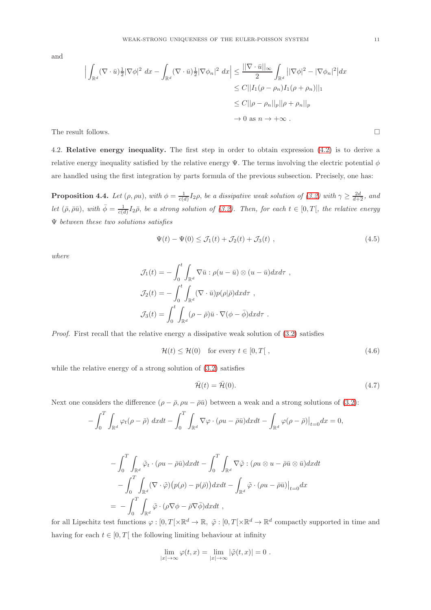and

$$
\left| \int_{\mathbb{R}^d} (\nabla \cdot \bar{u}) \frac{1}{2} |\nabla \phi|^2 dx - \int_{\mathbb{R}^d} (\nabla \cdot \bar{u}) \frac{1}{2} |\nabla \phi_n|^2 dx \right| \leq \frac{||\nabla \cdot \bar{u}||_{\infty}}{2} \int_{\mathbb{R}^d} ||\nabla \phi|^2 - |\nabla \phi_n|^2 dx
$$
  
\n
$$
\leq C ||I_1(\rho - \rho_n) I_1(\rho + \rho_n) ||_1
$$
  
\n
$$
\leq C ||\rho - \rho_n||_p ||\rho + \rho_n||_p
$$
  
\n
$$
\to 0 \text{ as } n \to +\infty .
$$
  
\nThe result follows.

4.2. Relative energy inequality. The first step in order to obtain expression [\(4.2\)](#page-9-2) is to derive a relative energy inequality satisfied by the relative energy  $\Psi$ . The terms involving the electric potential  $\phi$ are handled using the first integration by parts formula of the previous subsection. Precisely, one has:

**Proposition 4.4.** Let  $(\rho, \rho u)$ , with  $\phi = \frac{1}{c(d)} I_2 \rho$ , be a dissipative weak solution of  $(3.2)$  with  $\gamma \geq \frac{2d}{d+2}$ , and let  $(\bar{\rho}, \bar{\rho}\bar{u})$ , with  $\bar{\phi} = \frac{1}{c(d)}I_2\bar{\rho}$ , be a strong solution of [\(3.2\)](#page-4-1). Then, for each  $t \in [0, T[$ , the relative energy Ψ between these two solutions satisfies

$$
\Psi(t) - \Psi(0) \le \mathcal{J}_1(t) + \mathcal{J}_2(t) + \mathcal{J}_3(t) , \qquad (4.5)
$$

where

$$
\mathcal{J}_1(t) = -\int_0^t \int_{\mathbb{R}^d} \nabla \bar{u} : \rho(u - \bar{u}) \otimes (u - \bar{u}) dx d\tau ,
$$
  

$$
\mathcal{J}_2(t) = -\int_0^t \int_{\mathbb{R}^d} (\nabla \cdot \bar{u}) p(\rho | \bar{\rho}) dx d\tau ,
$$
  

$$
\mathcal{J}_3(t) = \int_0^t \int_{\mathbb{R}^d} (\rho - \bar{\rho}) \bar{u} \cdot \nabla (\phi - \bar{\phi}) dx d\tau .
$$

Proof. First recall that the relative energy a dissipative weak solution of [\(3.2\)](#page-4-1) satisfies

$$
\mathcal{H}(t) \le \mathcal{H}(0) \quad \text{for every } t \in [0, T[,
$$
\n(4.6)

while the relative energy of a strong solution of [\(3.2\)](#page-4-1) satisfies

<span id="page-10-1"></span><span id="page-10-0"></span>
$$
\bar{\mathcal{H}}(t) = \bar{\mathcal{H}}(0). \tag{4.7}
$$

Next one considers the difference  $(\rho - \bar{\rho}, \rho u - \bar{\rho} \bar{u})$  between a weak and a strong solutions of [\(3.2\)](#page-4-1):

$$
-\int_0^T \int_{\mathbb{R}^d} \varphi_t(\rho - \bar{\rho}) \, dxdt - \int_0^T \int_{\mathbb{R}^d} \nabla \varphi \cdot (\rho u - \bar{\rho} \bar{u}) dxdt - \int_{\mathbb{R}^d} \varphi(\rho - \bar{\rho}) \big|_{t=0} dx = 0,
$$

$$
-\int_0^T \int_{\mathbb{R}^d} \tilde{\varphi}_t \cdot (\rho u - \bar{\rho}\bar{u}) dx dt - \int_0^T \int_{\mathbb{R}^d} \nabla \tilde{\varphi} : (\rho u \otimes u - \bar{\rho}\bar{u} \otimes \bar{u}) dx dt - \int_0^T \int_{\mathbb{R}^d} (\nabla \cdot \tilde{\varphi}) \big( p(\rho) - p(\bar{\rho}) \big) dx dt - \int_{\mathbb{R}^d} \tilde{\varphi} \cdot (\rho u - \bar{\rho}\bar{u}) \big|_{t=0} dx = - \int_0^T \int_{\mathbb{R}^d} \tilde{\varphi} \cdot (\rho \nabla \phi - \bar{\rho} \nabla \bar{\phi}) dx dt ,
$$

for all Lipschitz test functions  $\varphi : [0, T[ \times \mathbb{R}^d \to \mathbb{R}, \ \tilde{\varphi} : [0, T[ \times \mathbb{R}^d \to \mathbb{R}^d \text{ compactly supported in time and}]$ having for each  $t \in [0, T]$  the following limiting behaviour at infinity

$$
\lim_{|x| \to \infty} \varphi(t, x) = \lim_{|x| \to \infty} |\tilde{\varphi}(t, x)| = 0.
$$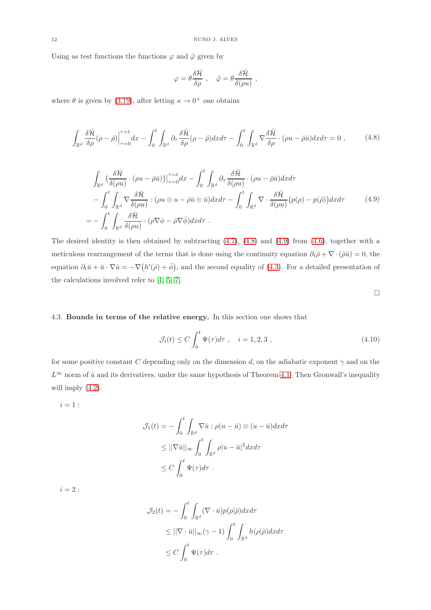Using as test functions the functions  $\varphi$  and  $\tilde{\varphi}$  given by

$$
\varphi = \theta \frac{\delta \bar{\mathcal{H}}}{\delta \rho} \ , \quad \tilde{\varphi} = \theta \frac{\delta \bar{\mathcal{H}}}{\delta (\rho u)} \ ,
$$

<span id="page-11-0"></span>where  $\theta$  is given by [\(3.19\)](#page-7-1), after letting  $\kappa \to 0^+$  one obtains

<span id="page-11-1"></span>
$$
\int_{\mathbb{R}^d} \frac{\delta \bar{\mathcal{H}}}{\delta \rho} (\rho - \bar{\rho}) \Big|_{\tau=0}^{\tau=t} dx - \int_0^t \int_{\mathbb{R}^d} \partial_\tau \frac{\delta \bar{\mathcal{H}}}{\delta \rho} (\rho - \bar{\rho}) dx d\tau - \int_0^t \int_{\mathbb{R}^d} \nabla \frac{\delta \bar{\mathcal{H}}}{\delta \rho} \cdot (\rho u - \bar{\rho} \bar{u}) dx d\tau = 0 , \qquad (4.8)
$$

$$
\int_{\mathbb{R}^d} \left( \frac{\delta \bar{\mathcal{H}}}{\delta(\rho u)} \cdot (\rho u - \bar{\rho} \bar{u}) \right) \Big|_{\tau=0}^{\tau=t} dx - \int_0^t \int_{\mathbb{R}^d} \partial_\tau \frac{\delta \bar{\mathcal{H}}}{\delta(\rho u)} \cdot (\rho u - \bar{\rho} \bar{u}) dx d\tau \n- \int_0^t \int_{\mathbb{R}^d} \nabla \frac{\delta \bar{\mathcal{H}}}{\delta(\rho u)} : (\rho u \otimes u - \bar{\rho} \bar{u} \otimes \bar{u}) dx d\tau - \int_0^t \int_{\mathbb{R}^d} \nabla \cdot \frac{\delta \bar{\mathcal{H}}}{\delta(\rho u)} (\rho(\rho) - p(\bar{\rho})) dx d\tau \n= - \int_0^t \int_{\mathbb{R}^d} \frac{\delta \bar{\mathcal{H}}}{\delta(\rho u)} \cdot (\rho \nabla \phi - \bar{\rho} \nabla \bar{\phi}) dx d\tau.
$$
\n(4.9)

The desired identity is then obtained by subtracting [\(4.7\)](#page-10-0), [\(4.8\)](#page-11-0) and [\(4.9\)](#page-11-1) from [\(4.6\)](#page-10-1), together with a meticulous rearrangement of the terms that is done using the continuity equation  $\partial_t \bar{\rho} + \nabla \cdot (\bar{\rho} \bar{u}) = 0$ , the equation  $\partial_t \bar{u} + \bar{u} \cdot \nabla \bar{u} = -\nabla (h'(\bar{\rho}) + \bar{\phi}),$  and the second equality of [\(4.3\)](#page-9-3). For a detailed presentation of the calculations involved refer to [\[1,](#page-13-5) [5,](#page-13-4) [7\]](#page-13-0).

 $\hfill \square$ 

### 4.3. Bounds in terms of the relative energy. In this section one shows that

$$
\mathcal{J}_i(t) \le C \int_0^t \Psi(\tau) d\tau \;, \quad i = 1, 2, 3 \;, \tag{4.10}
$$

for some positive constant C depending only on the dimension d, on the adiabatic exponent  $\gamma$  and on the  $L^{\infty}$  norm of  $\bar{u}$  and its derivatives, under the same hypothesis of Theorem [4.1.](#page-9-0) Then Gronwall's inequality will imply  $(4.2)$ .

 $i=1$  :

$$
\mathcal{J}_1(t) = -\int_0^t \int_{\mathbb{R}^d} \nabla \bar{u} : \rho(u - \bar{u}) \otimes (u - \bar{u}) dx d\tau
$$
  
\n
$$
\leq ||\nabla \bar{u}||_{\infty} \int_0^t \int_{\mathbb{R}^d} \rho |u - \bar{u}|^2 dx d\tau
$$
  
\n
$$
\leq C \int_0^t \Psi(\tau) d\tau.
$$

 $i = 2$ :

$$
\mathcal{J}_2(t) = -\int_0^t \int_{\mathbb{R}^d} (\nabla \cdot \bar{u}) p(\rho | \bar{\rho}) dx d\tau
$$
  
\n
$$
\leq ||\nabla \cdot \bar{u}||_{\infty} (\gamma - 1) \int_0^t \int_{\mathbb{R}^d} h(\rho | \bar{\rho}) dx d\tau
$$
  
\n
$$
\leq C \int_0^t \Psi(\tau) d\tau.
$$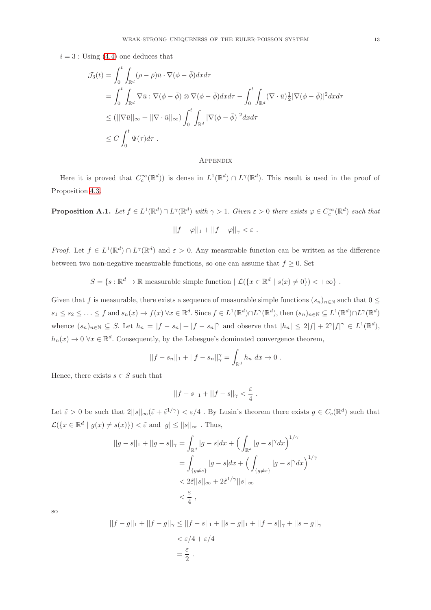$i = 3$ : Using [\(4.4\)](#page-9-4) one deduces that

$$
\mathcal{J}_{3}(t) = \int_{0}^{t} \int_{\mathbb{R}^{d}} (\rho - \bar{\rho}) \bar{u} \cdot \nabla(\phi - \bar{\phi}) dx d\tau
$$
  
\n
$$
= \int_{0}^{t} \int_{\mathbb{R}^{d}} \nabla \bar{u} : \nabla(\phi - \bar{\phi}) \otimes \nabla(\phi - \bar{\phi}) dx d\tau - \int_{0}^{t} \int_{\mathbb{R}^{d}} (\nabla \cdot \bar{u}) \frac{1}{2} |\nabla(\phi - \bar{\phi})|^{2} dx d\tau
$$
  
\n
$$
\leq (||\nabla \bar{u}||_{\infty} + ||\nabla \cdot \bar{u}||_{\infty}) \int_{0}^{t} \int_{\mathbb{R}^{d}} |\nabla(\phi - \bar{\phi})|^{2} dx d\tau
$$
  
\n
$$
\leq C \int_{0}^{t} \Psi(\tau) d\tau.
$$

#### **APPENDIX**

Here it is proved that  $C_c^{\infty}(\mathbb{R}^d)$  is dense in  $L^1(\mathbb{R}^d) \cap L^{\gamma}(\mathbb{R}^d)$ . This result is used in the proof of Proposition [4.3.](#page-9-1)

<span id="page-12-0"></span>**Proposition A.1.** Let  $f \in L^1(\mathbb{R}^d) \cap L^{\gamma}(\mathbb{R}^d)$  with  $\gamma > 1$ . Given  $\varepsilon > 0$  there exists  $\varphi \in C_c^{\infty}(\mathbb{R}^d)$  such that  $||f - \varphi||_1 + ||f - \varphi||_{\gamma} < \varepsilon.$ 

*Proof.* Let  $f \in L^1(\mathbb{R}^d) \cap L^{\gamma}(\mathbb{R}^d)$  and  $\varepsilon > 0$ . Any measurable function can be written as the difference between two non-negative measurable functions, so one can assume that  $f \geq 0$ . Set

$$
S = \{s : \mathbb{R}^d \to \mathbb{R} \text{ measurable simple function } | \mathcal{L}(\{x \in \mathbb{R}^d \mid s(x) \neq 0\}) < +\infty \}.
$$

Given that f is measurable, there exists a sequence of measurable simple functions  $(s_n)_{n\in\mathbb{N}}$  such that  $0 \leq$  $s_1 \leq s_2 \leq \ldots \leq f$  and  $s_n(x) \to f(x)$   $\forall x \in \mathbb{R}^d$ . Since  $f \in L^1(\mathbb{R}^d) \cap L^{\gamma}(\mathbb{R}^d)$ , then  $(s_n)_{n \in \mathbb{N}} \subseteq L^1(\mathbb{R}^d) \cap L^{\gamma}(\mathbb{R}^d)$ whence  $(s_n)_{n\in\mathbb{N}}\subseteq S$ . Let  $h_n=|f-s_n|+|f-s_n|^\gamma$  and observe that  $|h_n|\leq 2|f|+2^\gamma|f|^\gamma\in L^1(\mathbb{R}^d)$ ,  $h_n(x) \to 0 \,\forall x \in \mathbb{R}^d$ . Consequently, by the Lebesgue's dominated convergence theorem,

$$
||f - s_n||_1 + ||f - s_n||^{\gamma}_{\gamma} = \int_{\mathbb{R}^d} h_n \, dx \to 0 \; .
$$

Hence, there exists  $s \in S$  such that

$$
||f - s||_1 + ||f - s||_{\gamma} < \frac{\varepsilon}{4} \; .
$$

Let  $\tilde{\varepsilon} > 0$  be such that  $2||s||_{\infty}(\tilde{\varepsilon} + \tilde{\varepsilon}^{1/\gamma}) < \varepsilon/4$ . By Lusin's theorem there exists  $g \in C_c(\mathbb{R}^d)$  such that  $\mathcal{L}(\{x \in \mathbb{R}^d \mid g(x) \neq s(x)\}) < \tilde{\varepsilon}$  and  $|g| \leq ||s||_{\infty}$  . Thus,

$$
||g - s||_1 + ||g - s||_{\gamma} = \int_{\mathbb{R}^d} |g - s| dx + \left( \int_{\mathbb{R}^d} |g - s|^{\gamma} dx \right)^{1/\gamma}
$$
  
= 
$$
\int_{\{g \neq s\}} |g - s| dx + \left( \int_{\{g \neq s\}} |g - s|^{\gamma} dx \right)^{1/\gamma}
$$
  
< 
$$
< 2\tilde{\varepsilon} ||s||_{\infty} + 2\tilde{\varepsilon}^{1/\gamma} ||s||_{\infty}
$$
  

$$
< \frac{\varepsilon}{4},
$$

so

$$
||f - g||_1 + ||f - g||_{\gamma} \le ||f - s||_1 + ||s - g||_1 + ||f - s||_{\gamma} + ||s - g||_{\gamma}
$$
  

$$
< \varepsilon/4 + \varepsilon/4
$$
  

$$
= \frac{\varepsilon}{2}.
$$